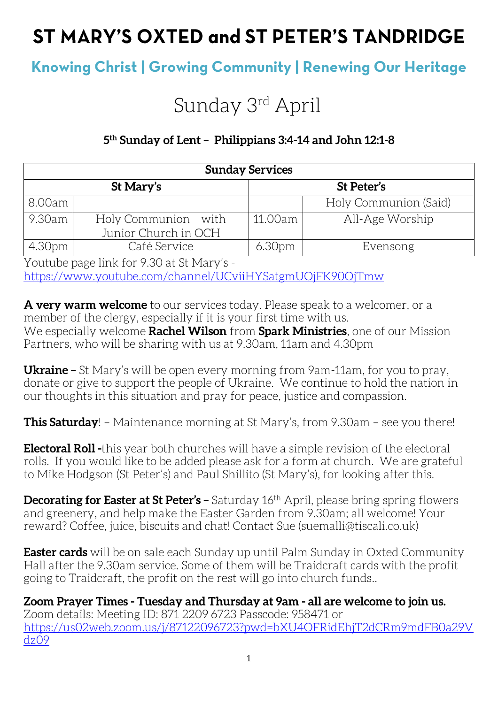# ST MARY'S OXTED and ST PETER'S TANDRIDGE

## **Knowing Christ | Growing Community | Renewing Our Heritage**

# Sunday 3rd April

### **5th Sunday of Lent – Philippians 3:4-14 and John 12:1-8**

| <b>Sunday Services</b> |                                             |                    |                       |  |
|------------------------|---------------------------------------------|--------------------|-----------------------|--|
| St Mary's              |                                             | St Peter's         |                       |  |
| 8.00am                 |                                             |                    | Holy Communion (Said) |  |
| 9.30am                 | Holy Communion with<br>Junior Church in OCH | 11.00am            | All-Age Worship       |  |
| 4.30pm                 | Café Service                                | 6.30 <sub>pm</sub> | Evensong              |  |

Youtube page link for 9.30 at St Mary's <https://www.youtube.com/channel/UCviiHYSatgmUOjFK90OjTmw>

**A very warm welcome** to our services today. Please speak to a welcomer, or a member of the clergy, especially if it is your first time with us. We especially welcome **Rachel Wilson** from **Spark Ministries**, one of our Mission Partners, who will be sharing with us at 9.30am, 11am and 4.30pm

**Ukraine –** St Mary's will be open every morning from 9am-11am, for you to pray, donate or give to support the people of Ukraine. We continue to hold the nation in our thoughts in this situation and pray for peace, justice and compassion.

**This Saturday**! – Maintenance morning at St Mary's, from 9.30am – see you there!

**Electoral Roll -**this year both churches will have a simple revision of the electoral rolls. If you would like to be added please ask for a form at church. We are grateful to Mike Hodgson (St Peter's) and Paul Shillito (St Mary's), for looking after this.

**Decorating for Easter at St Peter's –** Saturday 16th April, please bring spring flowers and greenery, and help make the Easter Garden from 9.30am; all welcome! Your reward? Coffee, juice, biscuits and chat! Contact Sue (suemalli@tiscali.co.uk)

**Easter cards** will be on sale each Sunday up until Palm Sunday in Oxted Community Hall after the 9.30am service. Some of them will be Traidcraft cards with the profit going to Traidcraft, the profit on the rest will go into church funds..

**Zoom Prayer Times - Tuesday and Thursday at 9am - all are welcome to join us.** Zoom details: Meeting ID: 871 2209 6723 Passcode: 958471 or [https://us02web.zoom.us/j/87122096723?pwd=bXU4OFRidEhjT2dCRm9mdFB0a29V](https://us02web.zoom.us/j/87122096723?pwd=bXU4OFRidEhjT2dCRm9mdFB0a29Vdz09) [dz09](https://us02web.zoom.us/j/87122096723?pwd=bXU4OFRidEhjT2dCRm9mdFB0a29Vdz09)